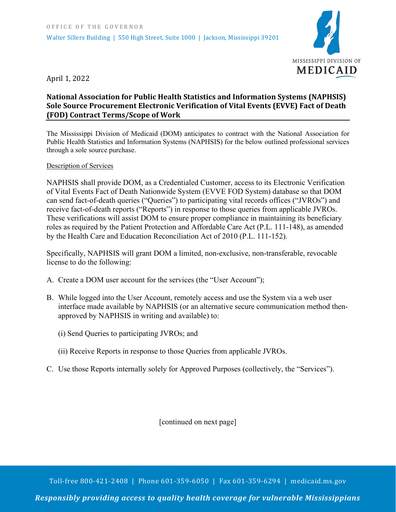

April 1, 2022

## **National Association for Public Health Statistics and Information Systems (NAPHSIS) Sole Source Procurement Electronic Verification of Vital Events (EVVE) Fact of Death (FOD) Contract Terms/Scope of Work**

The Mississippi Division of Medicaid (DOM) anticipates to contract with the National Association for Public Health Statistics and Information Systems (NAPHSIS) for the below outlined professional services through a sole source purchase.

## Description of Services

NAPHSIS shall provide DOM, as a Credentialed Customer, access to its Electronic Verification of Vital Events Fact of Death Nationwide System (EVVE FOD System) database so that DOM can send fact-of-death queries ("Queries") to participating vital records offices ("JVROs") and receive fact-of-death reports ("Reports") in response to those queries from applicable JVROs. These verifications will assist DOM to ensure proper compliance in maintaining its beneficiary roles as required by the Patient Protection and Affordable Care Act (P.L. 111-148), as amended by the Health Care and Education Reconciliation Act of 2010 (P.L. 111-152).

Specifically, NAPHSIS will grant DOM a limited, non-exclusive, non-transferable, revocable license to do the following:

- A. Create a DOM user account for the services (the "User Account");
- B. While logged into the User Account, remotely access and use the System via a web user interface made available by NAPHSIS (or an alternative secure communication method thenapproved by NAPHSIS in writing and available) to:
	- (i) Send Queries to participating JVROs; and
	- (ii) Receive Reports in response to those Queries from applicable JVROs.
- C. Use those Reports internally solely for Approved Purposes (collectively, the "Services").

[continued on next page]

Toll-free 800-421-2408 | Phone 601-359-6050 | Fax 601-359-6294 | medicaid.ms.gov

*Responsibly providing access to quality health coverage for vulnerable Mississippians*